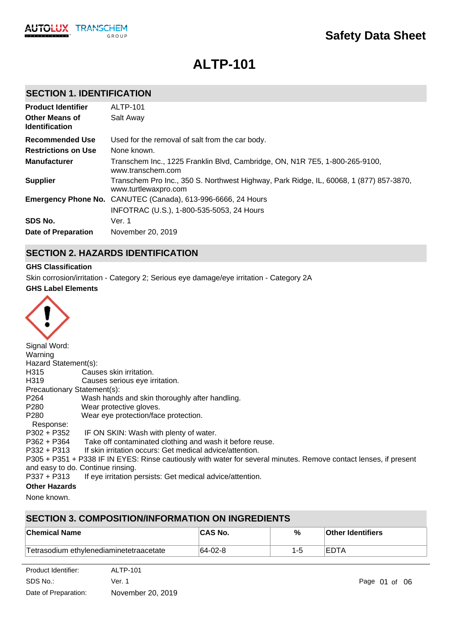# **ALTP-101**

### **SECTION 1. IDENTIFICATION**

| <b>Product Identifier</b><br><b>Other Means of</b><br><b>Identification</b> | <b>ALTP-101</b><br>Salt Away                                                                                   |
|-----------------------------------------------------------------------------|----------------------------------------------------------------------------------------------------------------|
| Recommended Use                                                             | Used for the removal of salt from the car body.                                                                |
| <b>Restrictions on Use</b>                                                  | None known.                                                                                                    |
| <b>Manufacturer</b>                                                         | Transchem Inc., 1225 Franklin Blvd, Cambridge, ON, N1R 7E5, 1-800-265-9100,<br>www.transchem.com               |
| <b>Supplier</b>                                                             | Transchem Pro Inc., 350 S. Northwest Highway, Park Ridge, IL, 60068, 1 (877) 857-3870,<br>www.turtlewaxpro.com |
|                                                                             | <b>Emergency Phone No.</b> CANUTEC (Canada), 613-996-6666, 24 Hours                                            |
|                                                                             | INFOTRAC (U.S.), 1-800-535-5053, 24 Hours                                                                      |
| SDS No.                                                                     | Ver. 1                                                                                                         |
| Date of Preparation                                                         | November 20, 2019                                                                                              |

### **SECTION 2. HAZARDS IDENTIFICATION**

### **GHS Classification**

Skin corrosion/irritation - Category 2; Serious eye damage/eye irritation - Category 2A

#### **GHS Label Elements**



| Signal Word:                |                                                                                                                   |
|-----------------------------|-------------------------------------------------------------------------------------------------------------------|
| Warning                     |                                                                                                                   |
| Hazard Statement(s):        |                                                                                                                   |
| H315                        | Causes skin irritation.                                                                                           |
| H319                        | Causes serious eye irritation.                                                                                    |
| Precautionary Statement(s): |                                                                                                                   |
| P <sub>264</sub>            | Wash hands and skin thoroughly after handling.                                                                    |
| P <sub>280</sub>            | Wear protective gloves.                                                                                           |
| P <sub>280</sub>            | Wear eye protection/face protection.                                                                              |
| Response:                   |                                                                                                                   |
| P302 + P352                 | IF ON SKIN: Wash with plenty of water.                                                                            |
| $P362 + P364$               | Take off contaminated clothing and wash it before reuse.                                                          |
| $P332 + P313$               | If skin irritation occurs: Get medical advice/attention.                                                          |
|                             | P305 + P351 + P338 IF IN EYES: Rinse cautiously with water for several minutes. Remove contact lenses, if present |
|                             | and easy to do. Continue rinsing.                                                                                 |
| $P337 + P313$               | If eye irritation persists: Get medical advice/attention.                                                         |
| Athen Hamanda               |                                                                                                                   |

### **Other Hazards**

None known.

### **SECTION 3. COMPOSITION/INFORMATION ON INGREDIENTS**

| ∣Chemical Name                          | <b>ICAS No.</b> | % | <b>Other Identifiers</b> |
|-----------------------------------------|-----------------|---|--------------------------|
| Tetrasodium ethylenediaminetetraacetate | $ 64-02-8$      |   | IEDTA                    |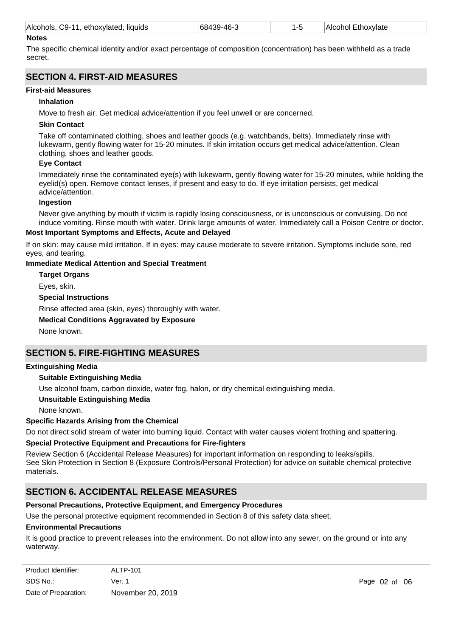| Alcohols<br>$\bigcirc$ 9-11<br>liquids<br>ethoxylater<br>oxvlate<br><br>AН.<br>м<br>. |
|---------------------------------------------------------------------------------------|
|---------------------------------------------------------------------------------------|

#### **Notes**

The specific chemical identity and/or exact percentage of composition (concentration) has been withheld as a trade secret.

### **SECTION 4. FIRST-AID MEASURES**

#### **First-aid Measures**

#### **Inhalation**

Move to fresh air. Get medical advice/attention if you feel unwell or are concerned.

#### **Skin Contact**

Take off contaminated clothing, shoes and leather goods (e.g. watchbands, belts). Immediately rinse with lukewarm, gently flowing water for 15-20 minutes. If skin irritation occurs get medical advice/attention. Clean clothing, shoes and leather goods.

#### **Eye Contact**

Immediately rinse the contaminated eye(s) with lukewarm, gently flowing water for 15-20 minutes, while holding the eyelid(s) open. Remove contact lenses, if present and easy to do. If eye irritation persists, get medical advice/attention.

#### **Ingestion**

Never give anything by mouth if victim is rapidly losing consciousness, or is unconscious or convulsing. Do not induce vomiting. Rinse mouth with water. Drink large amounts of water. Immediately call a Poison Centre or doctor.

#### **Most Important Symptoms and Effects, Acute and Delayed**

If on skin: may cause mild irritation. If in eyes: may cause moderate to severe irritation. Symptoms include sore, red eyes, and tearing.

### **Immediate Medical Attention and Special Treatment**

**Target Organs**

Eyes, skin.

#### **Special Instructions**

Rinse affected area (skin, eyes) thoroughly with water.

#### **Medical Conditions Aggravated by Exposure**

None known.

### **SECTION 5. FIRE-FIGHTING MEASURES**

#### **Extinguishing Media**

### **Suitable Extinguishing Media**

Use alcohol foam, carbon dioxide, water fog, halon, or dry chemical extinguishing media.

#### **Unsuitable Extinguishing Media**

None known.

### **Specific Hazards Arising from the Chemical**

Do not direct solid stream of water into burning liquid. Contact with water causes violent frothing and spattering.

### **Special Protective Equipment and Precautions for Fire-fighters**

Review Section 6 (Accidental Release Measures) for important information on responding to leaks/spills. See Skin Protection in Section 8 (Exposure Controls/Personal Protection) for advice on suitable chemical protective materials.

### **SECTION 6. ACCIDENTAL RELEASE MEASURES**

### **Personal Precautions, Protective Equipment, and Emergency Procedures**

Use the personal protective equipment recommended in Section 8 of this safety data sheet.

#### **Environmental Precautions**

It is good practice to prevent releases into the environment. Do not allow into any sewer, on the ground or into any waterway.

| Product Identifier:  | <b>ALTP-101</b>   |
|----------------------|-------------------|
| SDS No.:             | Ver. 1            |
| Date of Preparation: | November 20, 2019 |

Page 02 of 06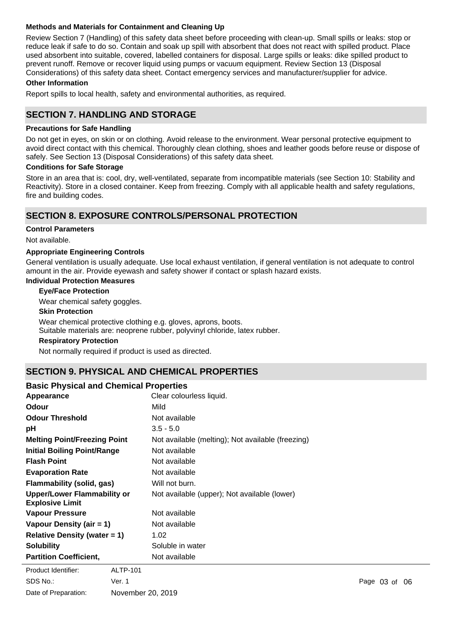### **Methods and Materials for Containment and Cleaning Up**

Review Section 7 (Handling) of this safety data sheet before proceeding with clean-up. Small spills or leaks: stop or reduce leak if safe to do so. Contain and soak up spill with absorbent that does not react with spilled product. Place used absorbent into suitable, covered, labelled containers for disposal. Large spills or leaks: dike spilled product to prevent runoff. Remove or recover liquid using pumps or vacuum equipment. Review Section 13 (Disposal Considerations) of this safety data sheet. Contact emergency services and manufacturer/supplier for advice.

#### **Other Information**

Report spills to local health, safety and environmental authorities, as required.

### **SECTION 7. HANDLING AND STORAGE**

#### **Precautions for Safe Handling**

Do not get in eyes, on skin or on clothing. Avoid release to the environment. Wear personal protective equipment to avoid direct contact with this chemical. Thoroughly clean clothing, shoes and leather goods before reuse or dispose of safely. See Section 13 (Disposal Considerations) of this safety data sheet.

#### **Conditions for Safe Storage**

Store in an area that is: cool, dry, well-ventilated, separate from incompatible materials (see Section 10: Stability and Reactivity). Store in a closed container. Keep from freezing. Comply with all applicable health and safety regulations, fire and building codes.

### **SECTION 8. EXPOSURE CONTROLS/PERSONAL PROTECTION**

#### **Control Parameters**

Not available.

#### **Appropriate Engineering Controls**

General ventilation is usually adequate. Use local exhaust ventilation, if general ventilation is not adequate to control amount in the air. Provide eyewash and safety shower if contact or splash hazard exists.

### **Individual Protection Measures**

**Eye/Face Protection**

Wear chemical safety goggles.

#### **Skin Protection**

Wear chemical protective clothing e.g. gloves, aprons, boots.

Suitable materials are: neoprene rubber, polyvinyl chloride, latex rubber.

#### **Respiratory Protection**

Not normally required if product is used as directed.

### **SECTION 9. PHYSICAL AND CHEMICAL PROPERTIES**

### **Basic Physical and Chemical Properties**

| Clear colourless liquid.<br>Appearance                                                                       |  |
|--------------------------------------------------------------------------------------------------------------|--|
| <b>Odour</b><br>Mild                                                                                         |  |
| <b>Odour Threshold</b><br>Not available                                                                      |  |
| $3.5 - 5.0$<br>рH                                                                                            |  |
| <b>Melting Point/Freezing Point</b><br>Not available (melting); Not available (freezing)                     |  |
| <b>Initial Boiling Point/Range</b><br>Not available                                                          |  |
| <b>Flash Point</b><br>Not available                                                                          |  |
| <b>Evaporation Rate</b><br>Not available                                                                     |  |
| <b>Flammability (solid, gas)</b><br>Will not burn.                                                           |  |
| <b>Upper/Lower Flammability or</b><br>Not available (upper); Not available (lower)<br><b>Explosive Limit</b> |  |
| Not available<br><b>Vapour Pressure</b>                                                                      |  |
| Vapour Density (air $= 1$ )<br>Not available                                                                 |  |
| Relative Density (water $= 1$ )<br>1.02                                                                      |  |
| <b>Solubility</b><br>Soluble in water                                                                        |  |
| <b>Partition Coefficient,</b><br>Not available                                                               |  |

**Product Identifier:** ALTP-101 SDS No.: Date of Preparation: Ver. 1 **Page 03 of 06** November 20, 2019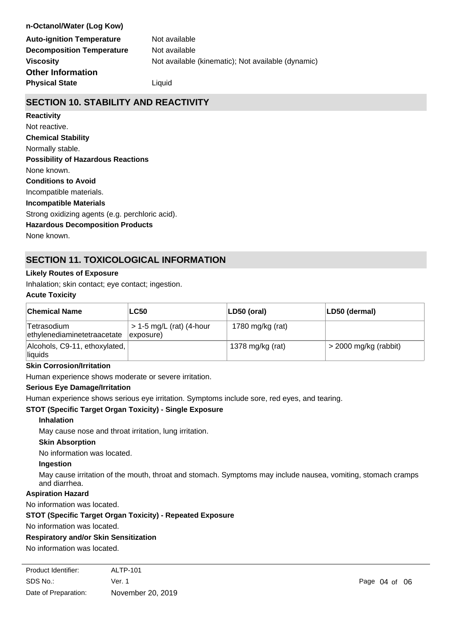### **n-Octanol/Water (Log Kow)**

**Auto-ignition Temperature** Not available **Decomposition Temperature** Not available **Physical State Liquid Other Information**

**Viscosity Not available (kinematic); Not available (dynamic) Viscosity** 

### **SECTION 10. STABILITY AND REACTIVITY**

### **Reactivity**

**Chemical Stability** Normally stable. **Conditions to Avoid** Incompatible materials. **Incompatible Materials** Strong oxidizing agents (e.g. perchloric acid). **Hazardous Decomposition Products** None known. **Possibility of Hazardous Reactions** None known. Not reactive.

### **SECTION 11. TOXICOLOGICAL INFORMATION**

### **Likely Routes of Exposure**

Inhalation; skin contact; eye contact; ingestion.

### **Acute Toxicity**

| <b>Chemical Name</b>                       | <b>LC50</b>                                           | LD50 (oral)      | LD50 (dermal)           |
|--------------------------------------------|-------------------------------------------------------|------------------|-------------------------|
| Tetrasodium<br>ethylenediaminetetraacetate | $> 1-5$ mg/L (rat) (4-hour<br>$\ket{\text{exposure}}$ | 1780 mg/kg (rat) |                         |
| Alcohols, C9-11, ethoxylated,<br>liquids   |                                                       | 1378 mg/kg (rat) | $>$ 2000 mg/kg (rabbit) |

#### **Skin Corrosion/Irritation**

Human experience shows moderate or severe irritation.

### **Serious Eye Damage/Irritation**

Human experience shows serious eye irritation. Symptoms include sore, red eyes, and tearing.

### **STOT (Specific Target Organ Toxicity) - Single Exposure**

#### **Inhalation**

May cause nose and throat irritation, lung irritation.

#### **Skin Absorption**

No information was located.

#### **Ingestion**

May cause irritation of the mouth, throat and stomach. Symptoms may include nausea, vomiting, stomach cramps and diarrhea.

### **Aspiration Hazard**

No information was located.

### **STOT (Specific Target Organ Toxicity) - Repeated Exposure**

No information was located.

### **Respiratory and/or Skin Sensitization**

No information was located.

| Product Identifier:  | ALTP-101          |
|----------------------|-------------------|
| SDS No.:             | Ver. 1            |
| Date of Preparation: | November 20, 2019 |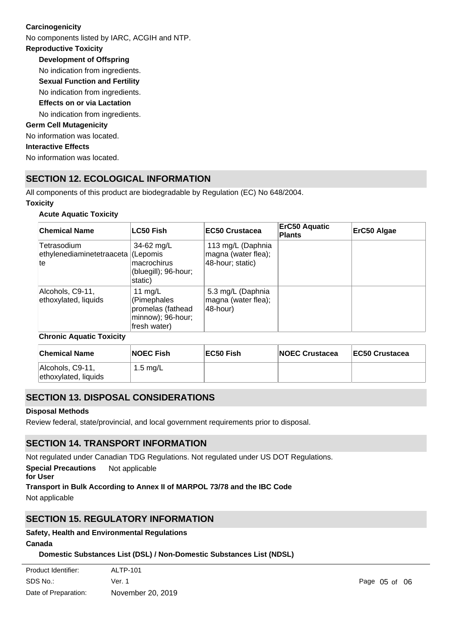### **Carcinogenicity**

No components listed by IARC, ACGIH and NTP.

### **Reproductive Toxicity**

**Development of Offspring** No indication from ingredients.

**Sexual Function and Fertility**

No indication from ingredients.

# **Effects on or via Lactation**

No indication from ingredients.

### **Germ Cell Mutagenicity**

No information was located.

### **Interactive Effects**

No information was located.

# **SECTION 12. ECOLOGICAL INFORMATION**

All components of this product are biodegradable by Regulation (EC) No 648/2004.

### **Toxicity**

### **Acute Aquatic Toxicity**

| <b>Chemical Name</b>                                    | <b>LC50 Fish</b>                                                                 | <b>IEC50 Crustacea</b>                                       | ErC50 Aquatic<br><b>Plants</b> | ErC50 Algae |
|---------------------------------------------------------|----------------------------------------------------------------------------------|--------------------------------------------------------------|--------------------------------|-------------|
| Tetrasodium<br>ethylenediaminetetraaceta (Lepomis<br>te | 34-62 mg/L<br>macrochirus<br>(bluegill); 96-hour;<br>static)                     | 113 mg/L (Daphnia<br>magna (water flea);<br>48-hour; static) |                                |             |
| Alcohols, C9-11,<br>ethoxylated, liquids                | 11 mg/L<br>(Pimephales<br>promelas (fathead<br>minnow); 96-hour;<br>fresh water) | 5.3 mg/L (Daphnia<br>magna (water flea);<br>48-hour)         |                                |             |

### **Chronic Aquatic Toxicity**

| <b>Chemical Name</b>                     | <b>NOEC Fish</b> | EC50 Fish | <b>NOEC Crustacea</b> | <b>EC50 Crustacea</b> |
|------------------------------------------|------------------|-----------|-----------------------|-----------------------|
| Alcohols, C9-11,<br>ethoxylated, liquids | 1.5 mg/L         |           |                       |                       |

# **SECTION 13. DISPOSAL CONSIDERATIONS**

### **Disposal Methods**

Review federal, state/provincial, and local government requirements prior to disposal.

# **SECTION 14. TRANSPORT INFORMATION**

Not regulated under Canadian TDG Regulations. Not regulated under US DOT Regulations.

**Special Precautions** Not applicable

**for User**

### **Transport in Bulk According to Annex II of MARPOL 73/78 and the IBC Code**

Not applicable

# **SECTION 15. REGULATORY INFORMATION**

### **Safety, Health and Environmental Regulations**

**Canada**

### **Domestic Substances List (DSL) / Non-Domestic Substances List (NDSL)**

| ALTP-101          |
|-------------------|
| Ver. 1            |
| November 20, 2019 |
|                   |